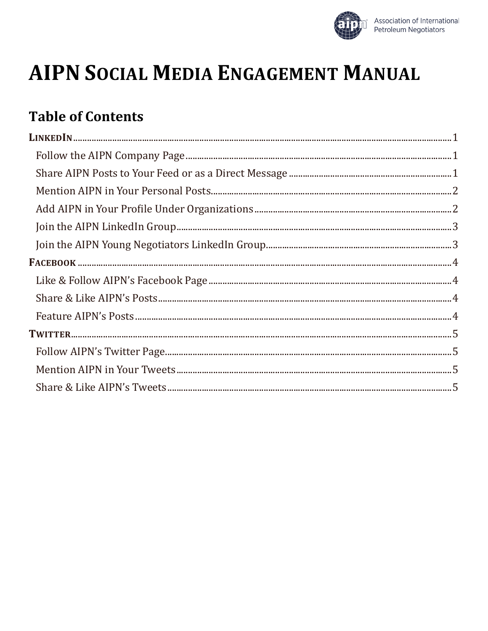

# **AIPN SOCIAL MEDIA ENGAGEMENT MANUAL**

# **Table of Contents**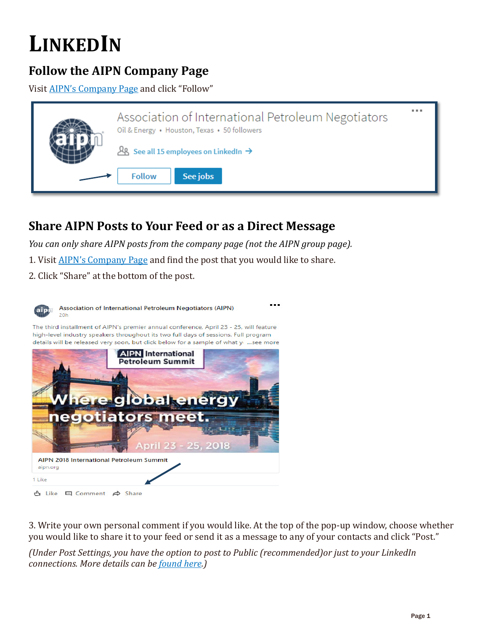# <span id="page-1-0"></span>**LINKEDIN**

### <span id="page-1-1"></span>**Follow the AIPN Company Page**

Visit [AIPN's Company Page](https://www.linkedin.com/company/associationofinternationalpetroleumnegotiators/) and click "Follow"



### <span id="page-1-2"></span>**Share AIPN Posts to Your Feed or as a Direct Message**

*You can only share AIPN posts from the company page (not the AIPN group page).*

1. Visit [AIPN's Company](https://www.linkedin.com/company/associationofinternationalpetroleumnegotiators/) Page and find the post that you would like to share.

2. Click "Share" at the bottom of the post.



3. Write your own personal comment if you would like. At the top of the pop-up window, choose whether you would like to share it to your feed or send it as a message to any of your contacts and click "Post."

*(Under Post Settings, you have the option to post to Public (recommended)or just to your LinkedIn connections. More details can be [found here.](https://www.linkedin.com/help/linkedin/answer/82288?lang=en))*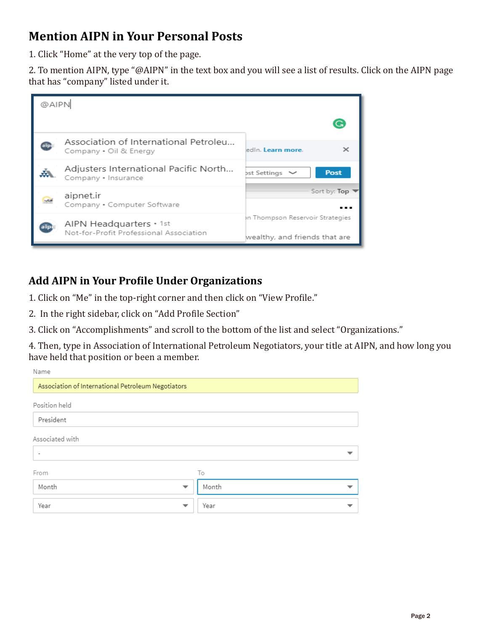### <span id="page-2-0"></span>**Mention AIPN in Your Personal Posts**

1. Click "Home" at the very top of the page.

2. To mention AIPN, type "@AIPN" in the text box and you will see a list of results. Click on the AIPN page that has "company" listed under it.



#### <span id="page-2-1"></span>**Add AIPN in Your Pro�ile Under Organizations**

1. Click on "Me" in the top-right corner and then click on "View Pro�ile."

2. In the right sidebar, click on "Add Profile Section"

3. Click on "Accomplishments" and scroll to the bottom of the list and select "Organizations."

4. Then, type in Association of International Petroleum Negotiators, your title at AIPN, and how long you have held that position or been a member.

| Name                                               |           |
|----------------------------------------------------|-----------|
| Association of International Petroleum Negotiators |           |
| Position held                                      |           |
| President                                          |           |
| Associated with                                    |           |
|                                                    | ▼         |
| From                                               | To        |
| Month<br>$\overline{\phantom{a}}$                  | Month     |
| Year<br>$\overline{\phantom{a}}$                   | Year<br>᠊ |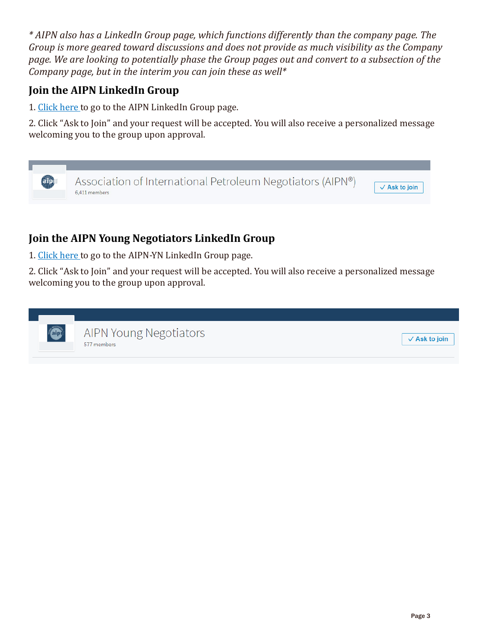*\* AIPN also has a LinkedIn Group page, which functions differently than the company page. The Group is more geared toward discussions and does not provide as much visibility as the Company page. We are looking to potentially phase the Group pages out and convert to a subsection of the Company page, but in the interim you can join these as well\**

#### <span id="page-3-0"></span>**Join the AIPN LinkedIn Group**

1[. Click here t](https://www.linkedin.com/groups/153927)o go to the AIPN LinkedIn Group page.

2. Click "Ask to Join" and your request will be accepted. You will also receive a personalized message welcoming you to the group upon approval.



#### <span id="page-3-1"></span>**Join the AIPN Young Negotiators LinkedIn Group**

1[. Click here t](https://www.linkedin.com/groups/3980719)o go to the AIPN-YN LinkedIn Group page.

2. Click "Ask to Join" and your request will be accepted. You will also receive a personalized message welcoming you to the group upon approval.

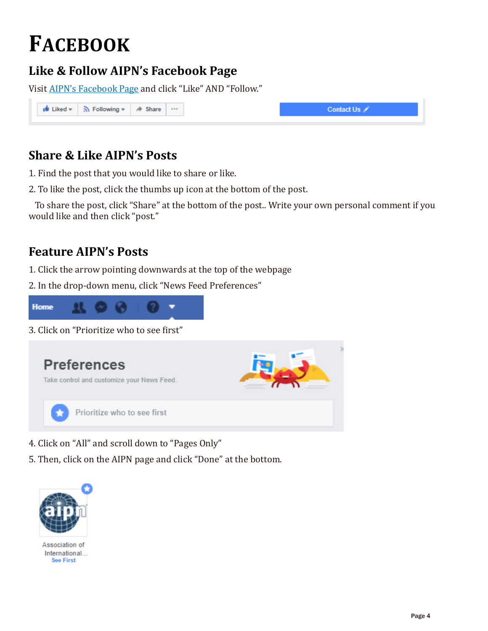# <span id="page-4-0"></span>**FACEBOOK**

## <span id="page-4-1"></span>**Like & Follow AIPN's Facebook Page**

Visit [AIPN's Facebook](https://www.facebook.com/AIPN.HQ/) Page and click "Like" AND "Follow."

| In Liked v   ᠗ Following v   A Share |  |
|--------------------------------------|--|
|--------------------------------------|--|

### <span id="page-4-2"></span>**Share & Like AIPN's Posts**

1. Find the post that you would like to share or like.

2. To like the post, click the thumbs up icon at the bottom of the post.

 To share the post, click "Share" at the bottom of the post.. Write your own personal comment if you would like and then click "post."

### <span id="page-4-3"></span>**Feature AIPN's Posts**

1. Click the arrow pointing downwards at the top of the webpage

2. In the drop-down menu, click "News Feed Preferences"



3. Click on "Prioritize who to see first"



- 4. Click on "All" and scroll down to "Pages Only"
- 5. Then, click on the AIPN page and click "Done" at the bottom.



Association of International... **See First**